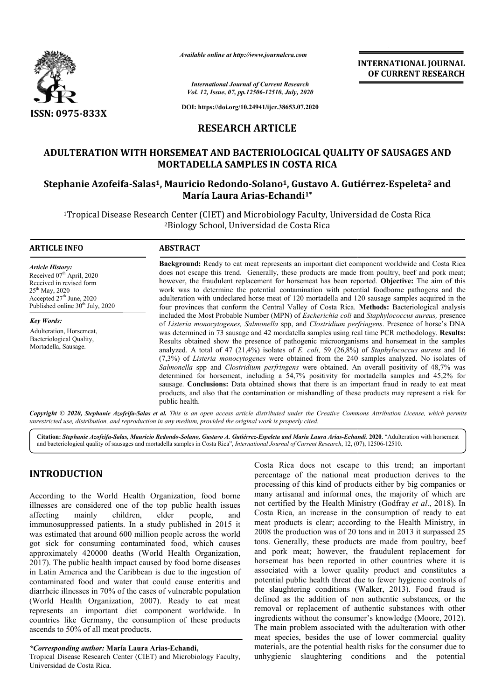

*Available online at http://www.journalcra.com*

**INTERNATIONAL JOURNAL OF CURRENT RESEARCH**

*International Journal of Current Research Vol. 12, Issue, 07, pp.12506-12510, July, 2020*

**DOI: https://doi.org/10.24941/ijcr.38653.07.2020**

### **RESEARCH ARTICLE**

## **ADULTERATION WITH HORSEMEAT AND BACTERIOLOGICAL QUALITY OF SAUSAGES AND MORTADELLA SAMPLES IN COSTA RICA** ADULTERATION WITH HORSEMEAT AND BACTERIOLOGICAL QUALITY OF SAUSAGES AND<br>MORTADELLA SAMPLES IN COSTA RICA<br>Stephanie Azofeifa-Salas<sup>1</sup>, Mauricio Redondo-Solano<sup>1</sup>, Gustavo A. Gutiérrez-Espeleta<sup>2</sup> and

# **María Laura Arias-Echandi1\***

<sup>1</sup>Tropical Disease Research Center (CIET) and Microbiology Faculty, Universidad de Costa Rica 2Biology School, Universidad de Costa Rica Biology

#### **ARTICLE INFO ABSTRACT**

*Article History: Article History:* Received 07<sup>th</sup> April, 2020 Received in revised form Received in revised form  $25<sup>th</sup>$  May, 2020 Accepted  $27<sup>th</sup>$  June, 2020 Published online 30<sup>th</sup> July, 2020

*Key Words:* Adulteration, Horsemeat, Bacteriological Quality, Mortadella, Sausage.

**Background:**  Ready to eat meat represents an important diet component worldwide and Costa Rica does not escape this trend. Generally, these products are made from poultry, beef and pork meat; Background: Ready to eat meat represents an important diet component worldwide and Costa Rica does not escape this trend. Generally, these products are made from poultry, beef and pork meat; however, the fraudulent replace work was to determine the potential contamination with potential foodborne pathogens and the work was to determine the potential contamination with potential foodborne pathogens and the adulteration with undeclared horse meat of 120 mortadella and 120 sausage samples acquired in the four provinces that conform the Central Valley of Costa Rica. Methods: Bacteriological analysis included the Most Probable Number (MPN) of *Escherichia coli* and *Staphylococcus aureus*, presence of *Listeria monocytogenes, Salmonella*  spp, and *Clostridium perfringens Clostridium perfringens*. Presence of horse's DNA was determined in 73 sausage and 42 mordatella samples using real time PCR methodology. Results: Results obtained show the presence of pathogenic microorganisms and horsemeat in the samples analyzed. A total of 47 (21,4%) isolates of *E. coli,* 59 (26,8%) of *Staphylococcus aureus* and 16 (7,3%) of *Listeria monocytogenes* were obtained from the 240 samples analyzed. No isolates of *Salmonella*  spp and *Clostridium perfringens* were obtained. An overall positivity of 48,7% was determined for horsemeat, including a 54,7% positivity for mortadella samples and 45,2% for sausage. **Conclusions:** Data obtained shows that there is an important fraud in ready to eat meat products, and also that the contamination or mishandling of these products may represent a risk for public health. (7,3%) of *Listeria monocytogenes* were obtained from the 240 samples analyzed. No isolates of *Salmonella* spp and *Clostridium perfringens* were obtained. An overall positivity of 48,7% was determined for horsemeat, inc

Copyright © 2020, Stephanie Azofeifa-Salas et al. This is an open access article distributed under the Creative Commons Attribution License, which permits *unrestricted use, distribution, and reproduction in any medium, provided the original work is properly cited.*

Citation: Stephanie Azofeifa-Salas, Mauricio Redondo-Solano, Gustavo A. Gutiérrez-Espeleta and María Laura Arias-Echandi. 2020. "Adulteration with horsemeat and bacteriological quality of sausages and mortadella samples in Costa Rica", *International Journal of Current Research*, 12, (07), 12506-12510.

### **INTRODUCTION**

According to the World Health Organization, food borne illnesses are considered one of the top public health issues<br>affecting mainly children, elder people, and affecting mainly children, elder people, and immunosuppressed patients. In a study published in 2015 it was estimated that around 600 million people across the world got sick for consuming contaminated food, which causes approximately 420000 deaths (World Health Organization, 2017). The public health impact caused by food borne diseases in Latin America and the Caribbean is due to the ingestion of contaminated food and water that could cause enteritis and diarrheic illnesses in 70% of the cases of vulnerable population (World Health Organization, 2007). Ready to eat meat represents an important diet component worldwide. In countries like Germany, the consumption of these products ascends to 50% of all meat products.

*\*Corresponding author:* **María Laura Arias-Echandi,**

Tropical Disease Research Center (CIET) and Microbiology Faculty, Universidad de Costa Rica.

Costa Rica does not escape to this trend; an important<br>precentage of the national meat production derives to the<br>processing of this kind of products either by big companies or<br>mapy artisanal and informal ones, the majority percentage of the national meat production derives to the processing of this kind of products either by big companies or Costa Rica does not escape to this trend; an important percentage of the national meat production derives to the processing of this kind of products either by big companies or many artisanal and informal ones, the majority not certified by the Health Ministry (Godfray *et al*., 2018). In Costa Rica, an increase in the consumption of ready to eat meat products is clear; according to the Health Ministry, in 2008 the production was of 20 tons and in 2013 it surpassed 25 tons. Generally, these products are made from poultry, beef and pork meat; however, the fraudulent replacement for horsemeat has been reported in other countries where it is associated with a lower quality product and constitutes a potential public health threat due to fewer hygienic the slaughtering conditions (Walker, 2013). Food fraud is defined as the addition of non authentic substances, or the removal or replacement of authentic substances with other ingredients without the consumer's knowledge (Moore, 2012). The main problem associated with the adulteration with other meat species, besides the use of lower commercial quality materials, are the potential health risks for the consumer due to unhygienic slaughtering conditions and the potential meat products is clear; according to the Health Ministry, in 2008 the production was of 20 tons and in 2013 it surpassed 25 tons. Generally, these products are made from poultry, beef and pork meat; however, the fraudulent INTERNATIONAL JOURNAL<br>
Conditions and **CONDITY** (OF CURRENT RESEARCH<br>
16. Associates, and **CONDITY** (OF SAUSAGES AND<br>
16. Associates)<br>
1.3663.87.2020<br>
CLLE<br>
CLLE<br>
CONDITICATION ACCONDITY (OF SAUSAGES AND<br>
16.0000000000000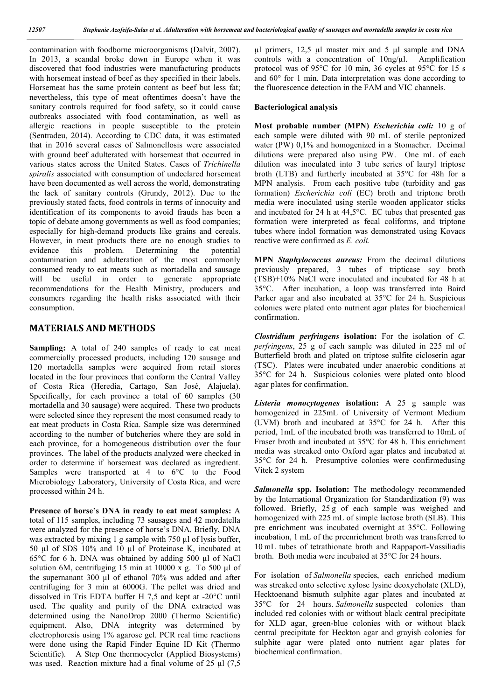contamination with foodborne microorganisms (Dalvit, 2007). In 2013, a scandal broke down in Europe when it was discovered that food industries were manufacturing products with horsemeat instead of beef as they specified in their labels. Horsemeat has the same protein content as beef but less fat; nevertheless, this type of meat oftentimes doesn't have the sanitary controls required for food safety, so it could cause outbreaks associated with food contamination, as well as allergic reactions in people susceptible to the protein (Sentradeu, 2014). According to CDC data, it was estimated that in 2016 several cases of Salmonellosis were associated with ground beef adulterated with horsemeat that occurred in various states across the United States. Cases of *Trichinella spiralis* associated with consumption of undeclared horsemeat have been documented as well across the world, demonstrating the lack of sanitary controls (Grundy, 2012). Due to the previously stated facts, food controls in terms of innocuity and identification of its components to avoid frauds has been a topic of debate among governments as well as food companies; especially for high-demand products like grains and cereals. However, in meat products there are no enough studies to evidence this problem. Determining the potential contamination and adulteration of the most commonly consumed ready to eat meats such as mortadella and sausage will be useful in order to generate appropriate recommendations for the Health Ministry, producers and consumers regarding the health risks associated with their consumption.

#### **MATERIALS AND METHODS**

**Sampling:** A total of 240 samples of ready to eat meat commercially processed products, including 120 sausage and 120 mortadella samples were acquired from retail stores located in the four provinces that conform the Central Valley of Costa Rica (Heredia, Cartago, San José, Alajuela). Specifically, for each province a total of 60 samples (30 mortadella and 30 sausage) were acquired. These two products were selected since they represent the most consumed ready to eat meat products in Costa Rica. Sample size was determined according to the number of butcheries where they are sold in each province, for a homogeneous distribution over the four provinces. The label of the products analyzed were checked in order to determine if horsemeat was declared as ingredient. Samples were transported at 4 to 6°C to the Food Microbiology Laboratory, University of Costa Rica, and were processed within 24 h.

**Presence of horse's DNA in ready to eat meat samples:** A total of 115 samples, including 73 sausages and 42 mordatella were analyzed for the presence of horse's DNA. Briefly, DNA was extracted by mixing 1 g sample with 750 µl of lysis buffer, 50 µl of SDS 10% and 10 µl of Proteinase K, incubated at 65°C for 6 h. DNA was obtained by adding 500 µl of NaCl solution 6M, centrifuging 15 min at 10000 x g. To 500 µl of the supernanant 300 µl of ethanol 70% was added and after centrifuging for 3 min at 6000G. The pellet was dried and dissolved in Tris EDTA buffer H 7,5 and kept at -20°C until used. The quality and purity of the DNA extracted was determined using the NanoDrop 2000 (Thermo Scientific) equipment. Also, DNA integrity was determined by electrophoresis using 1% agarose gel. PCR real time reactions were done using the Rapid Finder Equine ID Kit (Thermo Scientific). A Step One thermocycler (Applied Biosystems) was used. Reaction mixture had a final volume of  $25 \mu$ l (7,5)

µl primers, 12,5 µl master mix and 5 µl sample and DNA controls with a concentration of 10ng/µl. Amplification protocol was of 95°C for 10 min, 36 cycles at 95°C for 15 s and 60° for 1 min. Data interpretation was done according to the fluorescence detection in the FAM and VIC channels.

#### **Bacteriological analysis**

**Most probable number (MPN)** *Escherichia coli:* 10 g of each sample were diluted with 90 mL of sterile peptonized water (PW) 0,1% and homogenized in a Stomacher. Decimal dilutions were prepared also using PW. One mL of each dilution was inoculated into 3 tube series of lauryl triptose broth (LTB) and furtherly incubated at 35°C for 48h for a MPN analysis. From each positive tube (turbidity and gas formation) *Escherichia coli* (EC) broth and triptone broth media were inoculated using sterile wooden applicator sticks and incubated for 24 h at 44,5°C. EC tubes that presented gas formation were interpreted as fecal coliforms, and triptone tubes where indol formation was demonstrated using Kovacs reactive were confirmed as *E. coli.*

**MPN** *Staphylococcus aureus:* From the decimal dilutions previously prepared, 3 tubes of tripticase soy broth (TSB)+10% NaCl were inoculated and incubated for 48 h at 35°C. After incubation, a loop was transferred into Baird Parker agar and also incubated at 35°C for 24 h. Suspicious colonies were plated onto nutrient agar plates for biochemical confirmation.

*Clostridium perfringens* **isolation:** For the isolation of *C. perfringens*, 25 g of each sample was diluted in 225 ml of Butterfield broth and plated on triptose sulfite cicloserin agar (TSC). Plates were incubated under anaerobic conditions at 35°C for 24 h. Suspicious colonies were plated onto blood agar plates for confirmation.

*Listeria monocytogenes* **isolation:** A 25 g sample was homogenized in 225mL of University of Vermont Medium (UVM) broth and incubated at 35°C for 24 h. After this period, 1mL of the incubated broth was transferred to 10mL of Fraser broth and incubated at 35°C for 48 h. This enrichment media was streaked onto Oxford agar plates and incubated at 35°C for 24 h. Presumptive colonies were confirmedusing Vitek 2 system

*Salmonella* **spp. Isolation:** The methodology recommended by the International Organization for Standardization (9) was followed. Briefly, 25 g of each sample was weighed and homogenized with 225 mL of simple lactose broth (SLB). This pre enrichment was incubated overnight at 35°C. Following incubation, 1 mL of the preenrichment broth was transferred to 10 mL tubes of tetrathionate broth and Rappaport-Vassiliadis broth. Both media were incubated at 35°C for 24 hours.

For isolation of *Salmonella* species, each enriched medium was streaked onto selective xylose lysine deoxycholate (XLD), Hecktoenand bismuth sulphite agar plates and incubated at 35°C for 24 hours. *Salmonella* suspected colonies than included red colonies with or without black central precipitate for XLD agar, green-blue colonies with or without black central precipitate for Heckton agar and grayish colonies for sulphite agar were plated onto nutrient agar plates for biochemical confirmation.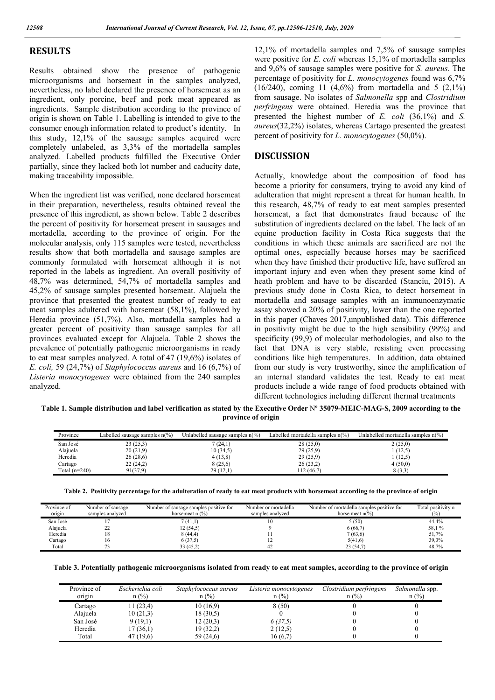#### **RESULTS**

Results obtained show the presence of pathogenic microorganisms and horsemeat in the samples analyzed, nevertheless, no label declared the presence of horsemeat as an ingredient, only porcine, beef and pork meat appeared as ingredients. Sample distribution according to the province of origin is shown on Table 1. Labelling is intended to give to the consumer enough information related to product's identity. In this study, 12,1% of the sausage samples acquired were completely unlabeled, as 3,3% of the mortadella samples analyzed. Labelled products fulfilled the Executive Order partially, since they lacked both lot number and caducity date, making traceability impossible.

When the ingredient list was verified, none declared horsemeat in their preparation, nevertheless, results obtained reveal the presence of this ingredient, as shown below. Table 2 describes the percent of positivity for horsemeat present in sausages and mortadella, according to the province of origin. For the molecular analysis, only 115 samples were tested, nevertheless results show that both mortadella and sausage samples are commonly formulated with horsemeat although it is not reported in the labels as ingredient. An overall positivity of 48,7% was determined, 54,7% of mortadella samples and 45,2% of sausage samples presented horsemeat. Alajuela the province that presented the greatest number of ready to eat meat samples adultered with horsemeat (58,1%), followed by Heredia province (51,7%). Also, mortadella samples had a greater percent of positivity than sausage samples for all provinces evaluated except for Alajuela. Table 2 shows the prevalence of potentially pathogenic microorganisms in ready to eat meat samples analyzed. A total of 47 (19,6%) isolates of *E. coli,* 59 (24,7%) of *Staphylococcus aureus* and 16 (6,7%) of *Listeria monocytogenes* were obtained from the 240 samples analyzed.

12,1% of mortadella samples and 7,5% of sausage samples were positive for *E. coli* whereas 15,1% of mortadella samples and 9,6% of sausage samples were positive for *S. aureus*. The percentage of positivity for *L. monocytogenes* found was 6,7% (16/240), coming 11 (4,6%) from mortadella and 5 (2,1%) from sausage. No isolates of *Salmonella* spp and *Clostridium perfringens* were obtained. Heredia was the province that presented the highest number of *E. coli* (36,1%) and *S. aureus*(32,2%) isolates, whereas Cartago presented the greatest percent of positivity for *L. monocytogenes* (50,0%).

#### **DISCUSSION**

Actually, knowledge about the composition of food has become a priority for consumers, trying to avoid any kind of adulteration that might represent a threat for human health. In this research, 48,7% of ready to eat meat samples presented horsemeat, a fact that demonstrates fraud because of the substitution of ingredients declared on the label. The lack of an equine production facility in Costa Rica suggests that the conditions in which these animals are sacrificed are not the optimal ones, especially because horses may be sacrificed when they have finished their productive life, have suffered an important injury and even when they present some kind of heath problem and have to be discarded (Stanciu, 2015). A previous study done in Costa Rica, to detect horsemeat in mortadella and sausage samples with an immunoenzymatic assay showed a 20% of positivity, lower than the one reported in this paper (Chaves 2017,unpublished data). This difference in positivity might be due to the high sensibility (99%) and specificity (99,9) of molecular methodologies, and also to the fact that DNA is very stable, resisting even processing conditions like high temperatures. In addition, data obtained from our study is very trustworthy, since the amplification of an internal standard validates the test. Ready to eat meat products include a wide range of food products obtained with different technologies including different thermal treatments

Table 1. Sample distribution and label verification as stated by the Executive Order N° 35079-MEIC-MAG-S, 2009 according to the **province of origin**

| Province        | Labelled sausage samples $n\frac{6}{6}$ | Unlabelled sausage samples $n\frac{6}{6}$ | Labelled mortadella samples n(%) | Unlabelled mortadella samples n(%) |
|-----------------|-----------------------------------------|-------------------------------------------|----------------------------------|------------------------------------|
| San José        | 23(25,3)                                | 7 (24,1)                                  | 28(25,0)                         | 2(25,0)                            |
| Alajuela        | 20(21,9)                                | 10(34,5)                                  | 29(25,9)                         | (12.5)                             |
| Heredia         | 26(28,6)                                | 4(13,8)                                   | 29 (25,9)                        | (12,5)                             |
| Cartago         | 22(24,2)                                | 8(25,6)                                   | 26(23,2)                         | 4(50,0)                            |
| Total $(n=240)$ | 91(37.9)                                | 29(12,1)                                  | 112(46,7)                        | 8(3,3)                             |

|  |  | Table 2. Positivity percentage for the adulteration of ready to eat meat products with horsemeat according to the province of origin |  |
|--|--|--------------------------------------------------------------------------------------------------------------------------------------|--|
|  |  |                                                                                                                                      |  |

| Province of<br>origin | Number of sausage<br>samples analyzed | Number of sausage samples positive for<br>horsemeat $n$ $\left(\frac{9}{6}\right)$ | Number or mortadella<br>samples analyzed | Number of mortadella samples positive for<br>horse meat $n\frac{6}{6}$ | Total positivity n<br>(0/0) |
|-----------------------|---------------------------------------|------------------------------------------------------------------------------------|------------------------------------------|------------------------------------------------------------------------|-----------------------------|
| San José              |                                       | 7(41,1)                                                                            | 10                                       | 5 (50)                                                                 | 44.4%                       |
| Alajuela              | ∠∠                                    | 12 (54,5)                                                                          |                                          | 6(66,7)                                                                | 58,1%                       |
| Heredia               |                                       | 8(44,4)                                                                            |                                          | 7(63,6)                                                                | 51,7%                       |
| Cartago               |                                       | 6(37,5)                                                                            |                                          | 5(41,6)                                                                | 39,3%                       |
| Total                 |                                       | 33 (45,2)                                                                          | 42                                       | 23(54,7)                                                               | 48.7%                       |

| Table 3. Potentially pathogenic microorganisms isolated from ready to eat meat samples, according to the province of origin |  |  |  |  |
|-----------------------------------------------------------------------------------------------------------------------------|--|--|--|--|

| Province of | Escherichia coli | Staphylococcus aureus | Listeria monocytogenes | Clostridium perfringens | Salmonella spp. |
|-------------|------------------|-----------------------|------------------------|-------------------------|-----------------|
| origin      | $n$ (%)          | $n$ (%)               | $n$ (%)                | $n$ (%)                 | $n$ (%)         |
| Cartago     | 11(23,4)         | 10(16,9)              | 8(50)                  |                         |                 |
| Alajuela    | 10(21,3)         | 18(30,5)              |                        |                         |                 |
| San José    | 9(19,1)          | 12(20,3)              | 6(37,5)                |                         |                 |
| Heredia     | 17(36,1)         | 19 (32,2)             | 2(12,5)                |                         |                 |
| Total       | 47 (19.6)        | 59 (24,6)             | 16 (6.7)               |                         |                 |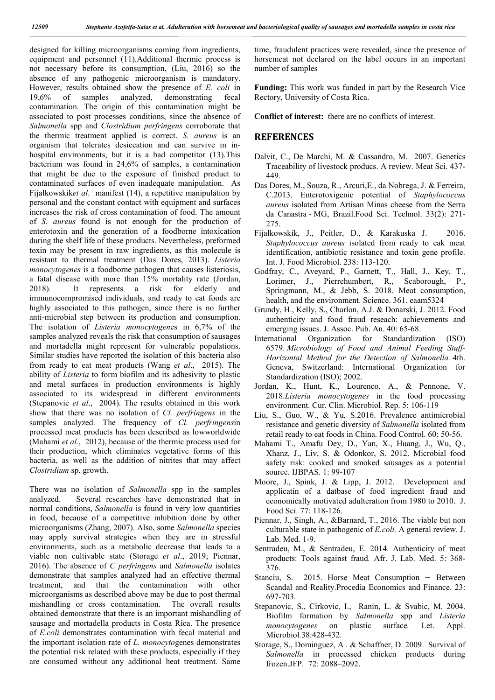designed for killing microorganisms coming from ingredients, equipment and personnel (11).Additional thermic process is not necessary before its consumption, (Liu, 2016) so the absence of any pathogenic microorganism is mandatory. However, results obtained show the presence of *E. coli* in 19,6% of samples analyzed, demonstrating fecal contamination. The origin of this contamination might be associated to post processes conditions, since the absence of *Salmonella* spp and *Clostridium perfringens* corroborate that the thermic treatment applied is correct. *S. aureus* is an organism that tolerates desiccation and can survive in inhospital environments, but it is a bad competitor (13).This bacterium was found in 24,6% of samples, a contamination that might be due to the exposure of finished product to contaminated surfaces of even inadequate manipulation. As Fijalkowskik*et al*. manifest (14), a repetitive manipulation by personal and the constant contact with equipment and surfaces increases the risk of cross contamination of food. The amount of *S. aureus* found is not enough for the production of enterotoxin and the generation of a foodborne intoxication during the shelf life of these products. Nevertheless, preformed toxin may be present in raw ingredients, as this molecule is resistant to thermal treatment (Das Dores, 2013). *Listeria monocytogenes* is a foodborne pathogen that causes listeriosis, a fatal disease with more than 15% mortality rate (Jordan, 2018)*.* It represents a risk for elderly and immunocompromised individuals, and ready to eat foods are highly associated to this pathogen, since there is no further anti-microbial step between its production and consumption. The isolation of *Listeria monocytogen*es in 6,7% of the samples analyzed reveals the risk that consumption of sausages and mortadella might represent for vulnerable populations. Similar studies have reported the isolation of this bacteria also from ready to eat meat products (Wang *et al*., 2015). The ability of *Listeria* to form biofilm and its adhesivity to plastic and metal surfaces in production environments is highly associated to its widespread in different environments (Stepanovic *et al*., 2004). The results obtained in this work show that there was no isolation of *Cl. perfringens* in the samples analyzed. The frequency of *Cl. perfringens*in processed meat products has been described as lowworldwide (Mahami *et al*., 2012), because of the thermic process used for their production, which eliminates vegetative forms of this bacteria, as well as the addition of nitrites that may affect *Clostridium* sp. growth.

There was no isolation of *Salmonella* spp in the samples analyzed. Several researches have demonstrated that in normal conditions, *Salmonella* is found in very low quantities in food, because of a competitive inhibition done by other microorganisms (Zhang, 2007). Also, some *Salmonella* species may apply survival strategies when they are in stressful environments, such as a metabolic decrease that leads to a viable non cultivable state (Storage *et al*., 2019; Piennar, 2016). The absence of *C perfringens* and *Salmonella* isolates demonstrate that samples analyzed had an effective thermal treatment, and that the contamination with other microorganisms as described above may be due to post thermal mishandling or cross contamination. The overall results obtained demonstrate that there is an important mishandling of sausage and mortadella products in Costa Rica. The presence of *E.coli* demonstrates contamination with fecal material and the important isolation rate of *L. monocyto*genes demonstrates the potential risk related with these products, especially if they are consumed without any additional heat treatment. Same

time, fraudulent practices were revealed, since the presence of horsemeat not declared on the label occurs in an important number of samples

**Funding:** This work was funded in part by the Research Vice Rectory, University of Costa Rica.

**Conflict of interest:** there are no conflicts of interest.

#### **REFERENCES**

- Dalvit, C., De Marchi, M. & Cassandro, M. 2007. Genetics Traceability of livestock producs. A review. Meat Sci. 437- 449.
- Das Dores, M., Souza, R., Arcuri,E., da Nobrega, J. & Ferreira, C.2013. Enterotoxigenic potential of *Staphylococcus aureus* isolated from Artisan Minas cheese from the Serra da Canastra - MG, Brazil.Food Sci. Technol. 33(2): 271- 275.
- Fijalkowskik, J., Peitler, D., & Karakuska J. 2016. *Staphylococcus aureus* isolated from ready to eak meat identification, antibiotic resistance and toxin gene profile. Int. J. Food Microbiol. 238: 113-120.
- Godfray, C., Aveyard, P., Garnett, T., Hall, J., Key, T., Lorimer, J., Pierrehumbert, R., Scaborough, P., Springmann, M., & Jebb, S. 2018. Meat consumption, health, and the environment. Science. 361. eaam5324
- Grundy, H., Kelly, S., Charlon, A.J. & Donarski, J. 2012. Food authenticity and food fraud reseach: achievements and emerging issues. J. Assoc. Pub. An. 40: 65-68.
- International Organization for Standardization (ISO) 6579. *Microbiology of Food and Animal Feeding Stuff-Horizontal Method for the Detection of Salmonella.* 4th. Geneva, Switzerland: International Organization for Standardization (ISO); 2002.
- Jordan, K., Hunt, K., Lourenco, A., & Pennone, V. 2018.*Listeria monocytogenes* in the food processing environment. Cur. Clin. Microbiol*.* Rep. 5: 106-119
- Liu, S., Guo, W., & Yu, S.2016. Prevalence antimicrobial resistance and genetic diversity of *Salmonella* isolated from retail ready to eat foods in China. Food Control. 60: 50-56.
- Mahami T., Amafu Dey, D., Yan, X., Huang, J., Wu, Q., Xhanz, J., Liv, S. & Odonkor, S. 2012. Microbial food safety risk: cooked and smoked sausages as a potential source. IJBPAS. 1: 99-107
- Moore, J., Spink, J. & Lipp, J. 2012. Development and applicatin of a datbase of food ingredient fraud and economically motivated adulteration from 1980 to 2010. J. Food Sci. 77: 118-126.
- Piennar, J., Singh, A., &Barnard, T., 2016. The viable but non culturable state in pathogenic of *E.coli.* A general review. J. Lab. Med. 1-9.
- Sentradeu, M., & Sentradeu, E. 2014. Authenticity of meat products: Tools against fraud*.* Afr. J. Lab. Med. 5: 368- 376.
- Stanciu, S. 2015. Horse Meat Consumption − Between Scandal and Reality.Procedia Economics and Finance. 23: 697-703.
- Stepanovic, S., Cirkovic, I., Ranin, L. & Svabic, M. 2004. Biofilm formation by *Salmonella* spp and *Listeria monocytogenes* on plastic surface*.* Let. Appl. Microbiol*.*38:428-432.
- Storage, S., Dominguez, A . & Schaffner, D. 2009. Survival of *Salmonella* in processed chicken products during frozen.JFP. 72: 2088–2092.